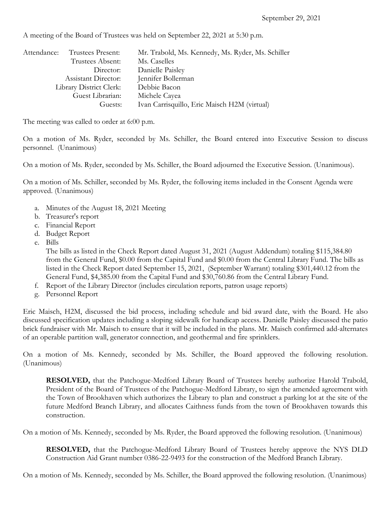Attendance: Trustees Present: Mr. Trabold, Ms. Kennedy, Ms. Ryder, Ms. Schiller Trustees Absent: Ms. Caselles Director: Danielle Paisley Assistant Director: Jennifer Bollerman Library District Clerk: Debbie Bacon Guest Librarian: Michele Cayea Guests: Ivan Carrisquillo, Eric Maisch H2M (virtual)

A meeting of the Board of Trustees was held on September 22, 2021 at 5:30 p.m.

The meeting was called to order at 6:00 p.m.

On a motion of Ms. Ryder, seconded by Ms. Schiller, the Board entered into Executive Session to discuss personnel. (Unanimous)

On a motion of Ms. Ryder, seconded by Ms. Schiller, the Board adjourned the Executive Session. (Unanimous).

On a motion of Ms. Schiller, seconded by Ms. Ryder, the following items included in the Consent Agenda were approved. (Unanimous)

- a. Minutes of the August 18, 2021 Meeting
- b. Treasurer's report
- c. Financial Report
- d. Budget Report
- e. Bills

The bills as listed in the Check Report dated August 31, 2021 (August Addendum) totaling \$115,384.80 from the General Fund, \$0.00 from the Capital Fund and \$0.00 from the Central Library Fund. The bills as listed in the Check Report dated September 15, 2021, (September Warrant) totaling \$301,440.12 from the General Fund, \$4,385.00 from the Capital Fund and \$30,760.86 from the Central Library Fund.

- f. Report of the Library Director (includes circulation reports, patron usage reports)
- g. Personnel Report

Eric Maisch, H2M, discussed the bid process, including schedule and bid award date, with the Board. He also discussed specification updates including a sloping sidewalk for handicap access. Danielle Paisley discussed the patio brick fundraiser with Mr. Maisch to ensure that it will be included in the plans. Mr. Maisch confirmed add-alternates of an operable partition wall, generator connection, and geothermal and fire sprinklers.

On a motion of Ms. Kennedy, seconded by Ms. Schiller, the Board approved the following resolution. (Unanimous)

**RESOLVED,** that the Patchogue-Medford Library Board of Trustees hereby authorize Harold Trabold, President of the Board of Trustees of the Patchogue-Medford Library, to sign the amended agreement with the Town of Brookhaven which authorizes the Library to plan and construct a parking lot at the site of the future Medford Branch Library, and allocates Caithness funds from the town of Brookhaven towards this construction.

On a motion of Ms. Kennedy, seconded by Ms. Ryder, the Board approved the following resolution. (Unanimous)

**RESOLVED,** that the Patchogue-Medford Library Board of Trustees hereby approve the NYS DLD Construction Aid Grant number 0386-22-9493 for the construction of the Medford Branch Library.

On a motion of Ms. Kennedy, seconded by Ms. Schiller, the Board approved the following resolution. (Unanimous)